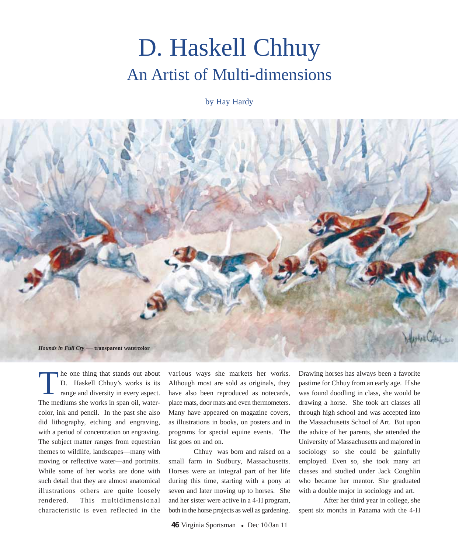## D. Haskell Chhuy An Artist of Multi-dimensions

by Hay Hardy



he one thing that stands out about D. Haskell Chhuy's works is its range and diversity in every aspect. The mediums she works in span oil, watercolor, ink and pencil. In the past she also did lithography, etching and engraving, with a period of concentration on engraving. The subject matter ranges from equestrian themes to wildlife, landscapes—many with moving or reflective water—and portraits. While some of her works are done with such detail that they are almost anatomical illustrations others are quite loosely rendered. This multidimensional characteristic is even reflected in the T

various ways she markets her works. Although most are sold as originals, they have also been reproduced as notecards, place mats, door mats and even thermometers. Many have appeared on magazine covers, as illustrations in books, on posters and in programs for special equine events. The list goes on and on.

Chhuy was born and raised on a small farm in Sudbury, Massachusetts. Horses were an integral part of her life during this time, starting with a pony at seven and later moving up to horses. She and her sister were active in a 4-H program, both in the horse projects as well as gardening.

Drawing horses has always been a favorite pastime for Chhuy from an early age. If she was found doodling in class, she would be drawing a horse. She took art classes all through high school and was accepted into the Massachusetts School of Art. But upon the advice of her parents, she attended the University of Massachusetts and majored in sociology so she could be gainfully employed. Even so, she took many art classes and studied under Jack Coughlin who became her mentor. She graduated with a double major in sociology and art.

After her third year in college, she spent six months in Panama with the 4-H

46 Virginia Sportsman • Dec 10/Jan 11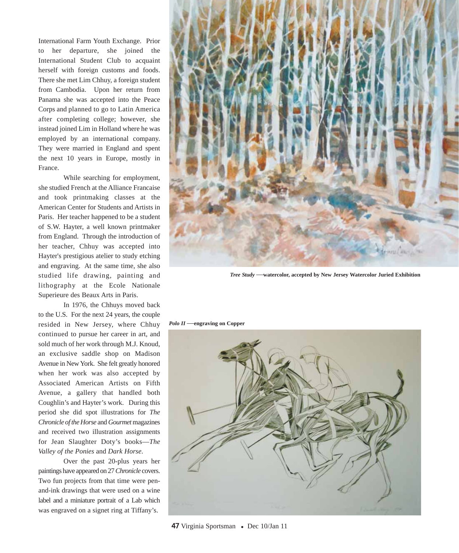International Farm Youth Exchange. Prior to her departure, she joined the International Student Club to acquaint herself with foreign customs and foods. There she met Lim Chhuy, a foreign student from Cambodia. Upon her return from Panama she was accepted into the Peace Corps and planned to go to Latin America after completing college; however, she instead joined Lim in Holland where he was employed by an international company. They were married in England and spent the next 10 years in Europe, mostly in France.

While searching for employment, she studied French at the Alliance Francaise and took printmaking classes at the American Center for Students and Artists in Paris. Her teacher happened to be a student of S.W. Hayter, a well known printmaker from England. Through the introduction of her teacher, Chhuy was accepted into Hayter's prestigious atelier to study etching and engraving. At the same time, she also studied life drawing, painting and lithography at the Ecole Nationale Superieure des Beaux Arts in Paris.

In 1976, the Chhuys moved back to the U.S. For the next 24 years, the couple resided in New Jersey, where Chhuy continued to pursue her career in art, and sold much of her work through M.J. Knoud, an exclusive saddle shop on Madison Avenue in New York. She felt greatly honored when her work was also accepted by Associated American Artists on Fifth Avenue, a gallery that handled both Coughlin's and Hayter's work. During this period she did spot illustrations for *The Chronicle of the Horse* and *Gourmet* magazines and received two illustration assignments for Jean Slaughter Doty's books—*The Valley of the Ponies* and *Dark Horse*.

Over the past 20-plus years her paintings have appeared on 27 *Chronicle* covers. Two fun projects from that time were penand-ink drawings that were used on a wine label and a miniature portrait of a Lab which was engraved on a signet ring at Tiffany's.



*Tree Study* —**watercolor, accepted by New Jersey Watercolor Juried Exhibition**

*Polo II* —**engraving on Copper**



47 Virginia Sportsman • Dec 10/Jan 11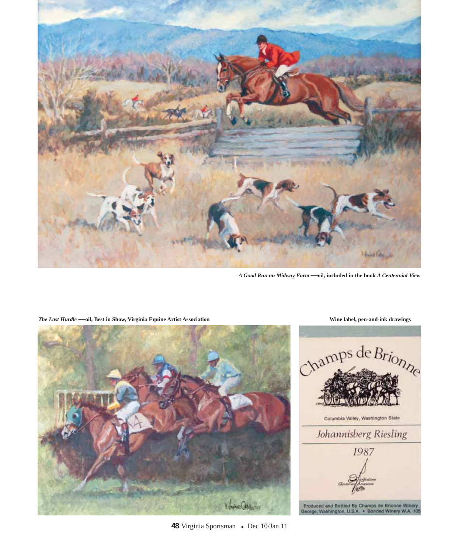

*A Good Run on Midway Farm* —**oil, included in the book** *A Centennial View*



*The Last Hurdle* —**oil, Best in Show, Virginia Equine Artist Association Wine label, pen-and-ink drawings**



48 Virginia Sportsman • Dec 10/Jan 11